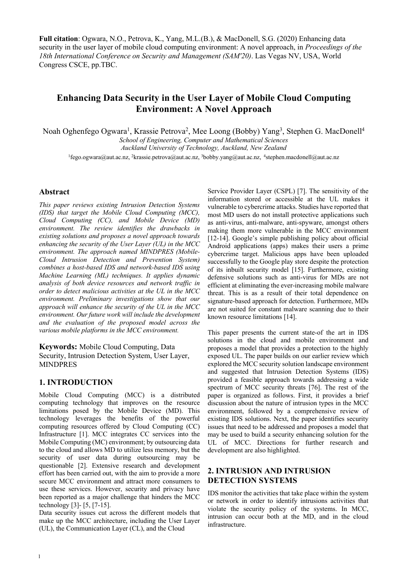**Full citation**: Ogwara, N.O., Petrova, K., Yang, M.L.(B.), & MacDonell, S.G. (2020) Enhancing data security in the user layer of mobile cloud computing environment: A novel approach, in *Proceedings of the 18th International Conference on Security and Management (SAM'20)*. Las Vegas NV, USA, World Congress CSCE, pp.TBC.

# **Enhancing Data Security in the User Layer of Mobile Cloud Computing Environment: A Novel Approach**

Noah Oghenfego Ogwara<sup>1</sup>, Krassie Petrova<sup>2</sup>, Mee Loong (Bobby) Yang<sup>3</sup>, Stephen G. MacDonell<sup>4</sup> *School of Engineering, Computer and Mathematical Sciences Auckland University of Technology, Auckland, New Zealand* 

<sup>1</sup>fego.ogwara@aut.ac.nz, <sup>2</sup>krassie.petrova@aut.ac.nz, <sup>3</sup>bobby.yang@aut.ac.nz, <sup>4</sup>stephen.macdonell@aut.ac.nz

## **Abstract**

*This paper reviews existing Intrusion Detection Systems (IDS) that target the Mobile Cloud Computing (MCC), Cloud Computing (CC), and Mobile Device (MD) environment. The review identifies the drawbacks in existing solutions and proposes a novel approach towards enhancing the security of the User Layer (UL) in the MCC environment. The approach named MINDPRES (Mobile-Cloud Intrusion Detection and Prevention System) combines a host-based IDS and network-based IDS using Machine Learning (ML) techniques. It applies dynamic analysis of both device resources and network traffic in order to detect malicious activities at the UL in the MCC environment. Preliminary investigations show that our approach will enhance the security of the UL in the MCC environment. Our future work will include the development and the evaluation of the proposed model across the various mobile platforms in the MCC environment.* 

## **Keywords:** Mobile Cloud Computing, Data

Security, Intrusion Detection System, User Layer, MINDPRES

## **1. INTRODUCTION**

Mobile Cloud Computing (MCC) is a distributed computing technology that improves on the resource limitations posed by the Mobile Device (MD). This technology leverages the benefits of the powerful computing resources offered by Cloud Computing (CC) Infrastructure [1]. MCC integrates CC services into the Mobile Computing (MC) environment; by outsourcing data to the cloud and allows MD to utilize less memory, but the security of user data during outsourcing may be questionable [2]. Extensive research and development effort has been carried out, with the aim to provide a more secure MCC environment and attract more consumers to use these services. However, security and privacy have been reported as a major challenge that hinders the MCC technology [3]- [5, [7-15].

Data security issues cut across the different models that make up the MCC architecture, including the User Layer (UL), the Communication Layer (CL), and the Cloud

Service Provider Layer (CSPL) [7]. The sensitivity of the information stored or accessible at the UL makes it vulnerable to cybercrime attacks. Studies have reported that most MD users do not install protective applications such as anti-virus, anti-malware, anti-spyware, amongst others making them more vulnerable in the MCC environment [12-14]. Google's simple publishing policy about official Android applications (apps) makes their users a prime cybercrime target. Malicious apps have been uploaded successfully to the Google play store despite the protection of its inbuilt security model [15]. Furthermore, existing defensive solutions such as anti-virus for MDs are not efficient at eliminating the ever-increasing mobile malware threat. This is as a result of their total dependence on signature-based approach for detection. Furthermore, MDs are not suited for constant malware scanning due to their known resource limitations [14].

This paper presents the current state-of the art in IDS solutions in the cloud and mobile environment and proposes a model that provides a protection to the highly exposed UL. The paper builds on our earlier review which explored the MCC security solution landscape environment and suggested that Intrusion Detection Systems (IDS) provided a feasible approach towards addressing a wide spectrum of MCC security threats [76]. The rest of the paper is organized as follows. First, it provides a brief discussion about the nature of intrusion types in the MCC environment, followed by a comprehensive review of existing IDS solutions. Next, the paper identifies security issues that need to be addressed and proposes a model that may be used to build a security enhancing solution for the UL of MCC. Directions for further research and development are also highlighted.

## **2. INTRUSION AND INTRUSION DETECTION SYSTEMS**

IDS monitor the activities that take place within the system or network in order to identify intrusions activities that violate the security policy of the systems. In MCC, intrusion can occur both at the MD, and in the cloud infrastructure.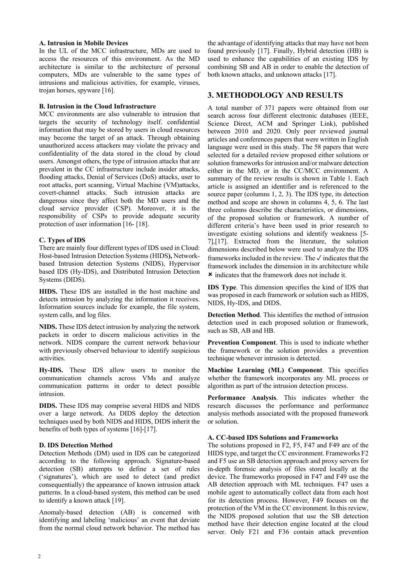#### **A. Intrusion in Mobile Devices**

In the UL of the MCC infrastructure, MDs are used to access the resources of this environment. As the MD architecture is similar to the architecture of personal computers, MDs are vulnerable to the same types of intrusions and malicious activities, for example, viruses, trojan horses, spyware [16].

## **B. Intrusion in the Cloud Infrastructure**

MCC environments are also vulnerable to intrusion that targets the security of technology itself. confidential information that may be stored by users in cloud resources may become the target of an attack. Through obtaining unauthorized access attackers may violate the privacy and confidentiality of the data stored in the cloud by cloud users. Amongst others, the type of intrusion attacks that are prevalent in the CC infrastructure include insider attacks, flooding attacks, Denial of Services (DoS) attacks, user to root attacks, port scanning, Virtual Machine (VM)attacks, covert-channel attacks. Such intrusion attacks are dangerous since they affect both the MD users and the cloud service provider (CSP). Moreover, it is the responsibility of CSPs to provide adequate security protection of user information [16- [18].

#### **C. Types of IDS**

There are mainly four different types of IDS used in Cloud: Host-based Intrusion Detection Systems (HIDS**),** Networkbased Intrusion detection Systems (NIDS), Hypervisor based IDS (Hy-IDS), and Distributed Intrusion Detection Systems (DIDS).

**HIDS.** These IDS are installed in the host machine and detects intrusion by analyzing the information it receives. Information sources include for example, the file system, system calls, and log files.

**NIDS.** These IDS detect intrusion by analyzing the network packets in order to discern malicious activities in the network. NIDS compare the current network behaviour with previously observed behaviour to identify suspicious activities.

**Hy-IDS.** These IDS allow users to monitor the communication channels across VMs and analyze communication patterns in order to detect possible intrusion.

**DIDS.** These IDS may comprise several HIDS and NIDS over a large network. As DIDS deploy the detection techniques used by both NIDS and HIDS, DIDS inherit the benefits of both types of systems [16]-[17].

## **D. IDS Detection Method**

Detection Methods (DM) used in IDS can be categorized according to the following approach. Signature-based detection (SB) attempts to define a set of rules ('signatures'), which are used to detect (and predict consequentially) the appearance of known intrusion attack patterns. In a cloud-based system, this method can be used to identify a known attack [19].

Anomaly-based detection (AB) is concerned with identifying and labeling 'malicious' an event that deviate from the normal cloud network behavior. The method has the advantage of identifying attacks that may have not been found previously [17]. Finally, Hybrid detection (HB) is used to enhance the capabilities of an existing IDS by combining SB and AB in order to enable the detection of both known attacks, and unknown attacks [17].

## **3. METHODOLOGY AND RESULTS**

A total number of 371 papers were obtained from our search across four different electronic databases (IEEE, Science Direct, ACM and Springer Link), published between 2010 and 2020. Only peer reviewed journal articles and conferences papers that were written in English language were used in this study. The 58 papers that were selected for a detailed review proposed either solutions or solution frameworks for intrusion and/or malware detection either in the MD, or in the CC/MCC environment. A summary of the review results is shown in Table 1. Each article is assigned an identifier and is referenced to the source paper (columns 1, 2, 3). The IDS type, its detection method and scope are shown in columns 4, 5, 6. The last three columns describe the characteristics, or dimensions, of the proposed solution or framework. A number of different criteria's have been used in prior research to investigate existing solutions and identify weakness [5- 7],[17]. Extracted from the literature, the solution dimensions described below were used to analyze the IDS frameworks included in the review. The  $\checkmark$  indicates that the framework includes the dimension in its architecture while û indicates that the framework does not include it.

**IDS Type**. This dimension specifies the kind of IDS that was proposed in each framework or solution such as HIDS, NIDS, Hy-IDS, and DIDS.

**Detection Method**. This identifies the method of intrusion detection used in each proposed solution or framework, such as SB, AB and HB.

**Prevention Component**. This is used to indicate whether the framework or the solution provides a prevention technique whenever intrusion is detected.

**Machine Learning (ML) Component**. This specifies whether the framework incorporates any ML process or algorithm as part of the intrusion detection process.

**Performance Analysis**. This indicates whether the research discusses the performance and performance analysis methods associated with the proposed framework or solution.

#### **A. CC-based IDS Solutions and Frameworks**

The solutions proposed in F2, F5, F47 and F49 are of the HIDS type, and target the CC environment. Frameworks F2 and F5 use an SB detection approach and proxy servers for in-depth forensic analysis of files stored locally at the device. The frameworks proposed in F47 and F49 use the AB detection approach with ML techniques. F47 uses a mobile agent to automatically collect data from each host for its detection process. However, F49 focuses on the protection of the VM in the CC environment. In this review, the NIDS proposed solution that use the SB detection method have their detection engine located at the cloud server. Only F21 and F36 contain attack prevention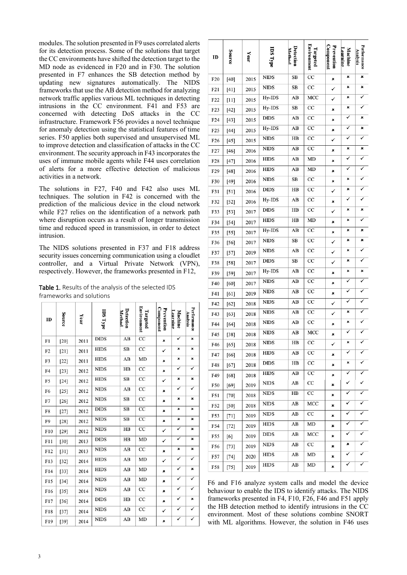modules. The solution presented in F9 uses correlated alerts for its detection process. Some of the solutions that target the CC environments have shifted the detection target to the MD node as evidenced in F20 and in F30. The solution presented in F7 enhances the SB detection method by updating new signatures automatically. The NIDS frameworks that use the AB detection method for analyzing network traffic applies various ML techniques in detecting intrusions in the CC environment. F41 and F53 are concerned with detecting DoS attacks in the CC infrastructure. Framework F56 provides a novel technique for anomaly detection using the statistical features of time series. F50 applies both supervised and unsupervised ML to improve detection and classification of attacks in the CC environment. The security approach in F43 incorporates the uses of immune mobile agents while F44 uses correlation of alerts for a more effective detection of malicious activities in a network.

The solutions in F27, F40 and F42 also uses ML techniques. The solution in F42 is concerned with the prediction of the malicious device in the cloud network while F27 relies on the identification of a network path where disruption occurs as a result of longer transmission time and reduced speed in transmission, in order to detect intrusion.

The NIDS solutions presented in F37 and F18 address security issues concerning communication using a cloudlet controller, and a Virtual Private Network (VPN), respectively. However, the frameworks presented in F12,

Table 1. Results of the analysis of the selected IDS frameworks and solutions

| ID             | Source | Year | <b>IDS Type</b> | Detection<br>Method | <b>Environment</b><br>Targeted | Component<br>Prevention | Machine<br><u>Learning</u> | Performance<br>Analysis |
|----------------|--------|------|-----------------|---------------------|--------------------------------|-------------------------|----------------------------|-------------------------|
| F1             | $[20]$ | 2011 | <b>DIDS</b>     | AB                  | $\overline{cc}$                | ×                       | ✓                          | ×                       |
| F <sub>2</sub> | $[21]$ | 2011 | <b>HIDS</b>     | SB                  | CC                             | $\checkmark$            | ×                          | ×                       |
| F <sub>3</sub> | $[22]$ | 2011 | <b>HIDS</b>     | AB                  | MD                             | ×                       | ×                          | ×                       |
| F <sub>4</sub> | $[23]$ | 2012 | <b>NIDS</b>     | HB                  | CC                             | ×                       | ✓                          | ✓                       |
| F <sub>5</sub> | $[24]$ | 2012 | <b>HIDS</b>     | SB                  | CC                             | ✓                       | ×                          | ×                       |
| F <sub>6</sub> | $[25]$ | 2012 | <b>NIDS</b>     | AB                  | CC                             | ×                       | ✓                          | ✓                       |
| F7             | $[26]$ | 2012 | <b>NIDS</b>     | SB                  | CC                             | ×                       | ×                          | ×                       |
| F8             | $[27]$ | 2012 | <b>DIDS</b>     | SB                  | CC                             | ×                       | ×                          | ×                       |
| F9             | $[28]$ | 2012 | <b>NIDS</b>     | SB                  | CC                             | ×                       | ×                          | $\pmb{\times}$          |
| F10            | $[29]$ | 2012 | <b>NIDS</b>     | HB                  | $\overline{cc}$                | ✓                       | ✓                          | ×                       |
| F11            | $[30]$ | 2013 | <b>DIDS</b>     | HB                  | MD                             | $\checkmark$            | ✓                          | ×                       |
| F12            | $[31]$ | 2013 | <b>NIDS</b>     | AB                  | CC                             | ×                       | ×                          | $\pmb{\times}$          |
| F13            | $[32]$ | 2014 | <b>HIDS</b>     | AB                  | MD                             | ✓                       | ✓                          | ✓                       |
| F14            | $[33]$ | 2014 | <b>HIDS</b>     | AB                  | MD                             | ×                       | ✓                          | ×                       |
| F15            | $[34]$ | 2014 | <b>NIDS</b>     | AB                  | MD                             | ×                       | ✓                          | ✓                       |
| F16            | $[35]$ | 2014 | <b>NIDS</b>     | AB                  | CC                             | $\pmb{\times}$          | ✓                          | ✓                       |
| F17            | $[36]$ | 2014 | <b>DIDS</b>     | HB                  | CC                             | ×                       | ✓                          | ×                       |
| F18            | $[37]$ | 2014 | <b>NIDS</b>     | AB                  | CC                             | ✓                       | ✓                          | ✓                       |
| F19            | $[39]$ | 2014 | <b>NIDS</b>     | AB                  | MD                             | ×                       | ✓                          | ✓                       |

| ID               | Source | Year | <b>IDS Type</b>         | Detection<br>Method | Environment<br>Targeted | Component<br>Prevention | <b>Machine</b><br>carning. | Performance<br>Analysis |
|------------------|--------|------|-------------------------|---------------------|-------------------------|-------------------------|----------------------------|-------------------------|
| F <sub>20</sub>  | $[40]$ | 2015 | <b>NIDS</b>             | SB                  | $_{\rm CC}$             | ×                       | ×                          | ×                       |
| F <sub>21</sub>  | $[41]$ | 2015 | <b>NIDS</b>             | SB                  | CC                      | ✓                       | ×                          | ×                       |
| F22              | $[11]$ | 2015 | $Hy$ - $\overline{IDS}$ | AB                  | MCC                     | ✓                       | ×                          | ✓                       |
| F <sub>2</sub> 3 | [42]   | 2015 | $Hy$ - $\overline{IDS}$ | SB                  | $_{\rm CC}$             | ×                       | ×                          | ✓                       |
| F24              | [43]   | 2015 | DIDS                    | AB                  | CC                      | ×                       | ✓                          | ×                       |
| F25              | $[44]$ | 2015 | Hy-IDS                  | AB                  | $_{\rm CC}$             | ×                       | ✓                          | ×                       |
| F <sub>26</sub>  | [45]   | 2015 | <b>NIDS</b>             | HB                  | $_{\rm CC}$             | ✓                       | ✓                          | ✓                       |
| F27              | [46]   | 2016 | <b>NIDS</b>             | AB                  | CC                      | ×                       | ×                          | ×                       |
| F <sub>28</sub>  | [47]   | 2016 | <b>HIDS</b>             | AB                  | MD                      | ×                       | ✓                          |                         |
| F29              | [48]   | 2016 | <b>HIDS</b>             | AB                  | MD                      | ×                       | ✓                          |                         |
| F30              | $[49]$ | 2016 | <b>NIDS</b>             | SВ                  | $_{\rm CC}$             | ×                       | ×                          |                         |
| F31              | [51]   | 2016 | <b>DIDS</b>             | HB                  | $_{\rm CC}$             | ✓                       | ×                          |                         |
| F32              | $[52]$ | 2016 | Hy-IDS                  | AB                  | СC                      | ×                       | ✓                          |                         |
| F33              | $[53]$ | 2017 | <b>DIDS</b>             | HB                  | CC                      | ✓                       | ×                          | ×                       |
| F34              | [54]   | 2017 | <b>HIDS</b>             | HB                  | MD                      | ×                       | ×                          | ✓                       |
| F35              | [55]   | 2017 | Hy-IDS                  | AB                  | $_{\rm CC}$             | ×                       | ×                          | ×                       |
| F36              | [56]   | 2017 | <b>NIDS</b>             | SB                  | CC                      | ✓                       | ×                          | ×                       |
| F37              | $[57]$ | 2019 | <b>NIDS</b>             | AB                  | CC                      | ✓                       | ×                          |                         |
| F38              | $[58]$ | 2017 | <b>DIDS</b>             | SB                  | CC                      | ✓                       | ×                          |                         |
| F39              | [59]   | 2017 | Hy-IDS                  | AB                  | CC                      | ×                       | ×                          | ×                       |
| F40              | [60]   | 2017 | NIDS                    | AB                  | $_{\rm CC}$             | ×                       | ✓                          |                         |
| F41              | $[61]$ | 2019 | NIDS                    | AB                  | $_{\rm CC}$             | ×                       | ✓                          |                         |
| F42              | $[62]$ | 2018 | <b>NIDS</b>             | AB                  | CC                      | ✓                       | 7                          |                         |
| F43              | [63]   | 2018 | NIDS                    | AB                  | CC                      | ✓                       | ×                          |                         |
| F44              | $[64]$ | 2018 | NIDS                    | AB                  | $_{\rm CC}$             | ×                       | ×                          |                         |
| F45              | $[38]$ | 2018 | <b>NIDS</b>             | AB                  | MCC                     | ×                       | ✓                          | ✓                       |
| F46              | $[65]$ | 2018 | NIDS                    | HB                  | $_{\rm CC}$             | ✓                       | ×                          | ✓                       |
| F47              | [66]   | 2018 | <b>HIDS</b>             | AB                  | $_{\rm CC}$             | ×                       | ✓                          | ✓                       |
| F48              | $[67]$ | 2018 | <b>DIDS</b>             | HB                  | СC                      | ×                       | ×                          | ✓                       |
| F49              | [68]   | 2018 | <b>HIDS</b>             | AB                  | $_{\rm CC}$             | ×                       | ✓                          | ✓                       |
| F50              | $[69]$ | 2019 | NIDS                    | AB                  | $_{\rm CC}$             | ×                       | ✓                          | ✓                       |
| F51              | $[70]$ | 2018 | NIDS                    | HВ                  | СC                      | ×                       | ✓                          | ✓                       |
| F52              | $[50]$ | 2018 | <b>NIDS</b>             | AB                  | MCC                     | ×                       | ✓                          | ✓                       |
| F53              | $[71]$ | 2019 | NIDS                    | AB                  | $\overline{cc}$         | ×                       | ✓                          | ✓                       |
| F54              | $[72]$ | 2019 | HIDS                    | AB                  | MD                      | ×                       | ✓                          | ✓                       |
| F55              | [6]    | 2019 | DIDS                    | AB                  | МСС                     | ×                       | ✓                          | ✓                       |
| F56              | $[73]$ | 2019 | <b>NIDS</b>             | AB                  | СC                      | ×                       | ×                          | ✓                       |
| F57              | [74]   | 2020 | <b>HIDS</b>             | AB                  | MD                      | ×                       | ✓                          | ✓                       |
| F58              | [75]   | 2019 | <b>HIDS</b>             | AB                  | MD                      | ×                       | ✓                          | ✓                       |

F6 and F16 analyze system calls and model the device behaviour to enable the IDS to identify attacks. The NIDS frameworks presented in F4, F10, F26, F46 and F51 apply the HB detection method to identify intrusions in the CC environment. Most of these solutions combine SNORT with ML algorithms. However, the solution in F46 uses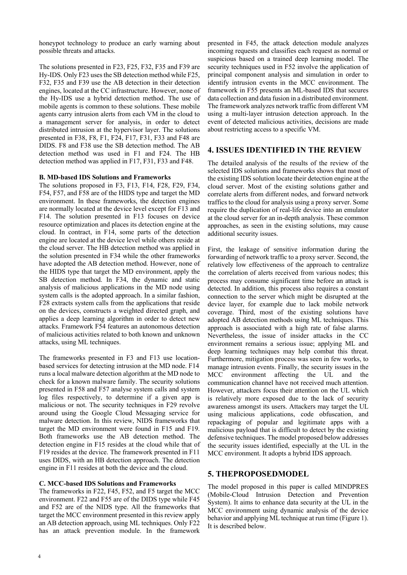honeypot technology to produce an early warning about possible threats and attacks.

The solutions presented in F23, F25, F32, F35 and F39 are Hy-IDS. Only F23 uses the SB detection method while F25, F32, F35 and F39 use the AB detection in their detection engines, located at the CC infrastructure. However, none of the Hy-IDS use a hybrid detection method. The use of mobile agents is common to these solutions. These mobile agents carry intrusion alerts from each VM in the cloud to a management server for analysis, in order to detect distributed intrusion at the hypervisor layer. The solutions presented in F38, F8, F1, F24, F17, F31, F33 and F48 are DIDS. F8 and F38 use the SB detection method. The AB detection method was used in F1 and F24. The HB detection method was applied in F17, F31, F33 and F48.

#### **B. MD-based IDS Solutions and Frameworks**

The solutions proposed in F3, F13, F14, F28, F29, F34, F54, F57, and F58 are of the HIDS type and target the MD environment. In these frameworks, the detection engines are normally located at the device level except for F13 and F14. The solution presented in F13 focuses on device resource optimization and places its detection engine at the cloud. In contract, in F14, some parts of the detection engine are located at the device level while others reside at the cloud server. The HB detection method was applied in the solution presented in F34 while the other frameworks have adopted the AB detection method. However, none of the HIDS type that target the MD environment, apply the SB detection method. In F34, the dynamic and static analysis of malicious applications in the MD node using system calls is the adopted approach. In a similar fashion, F28 extracts system calls from the applications that reside on the devices, constructs a weighted directed graph, and applies a deep learning algorithm in order to detect new attacks. Framework F54 features an autonomous detection of malicious activities related to both known and unknown attacks, using ML techniques.

The frameworks presented in F3 and F13 use locationbased services for detecting intrusion at the MD node. F14 runs a local malware detection algorithm at the MD node to check for a known malware family. The security solutions presented in F58 and F57 analyse system calls and system log files respectively, to determine if a given app is malicious or not. The security techniques in F29 revolve around using the Google Cloud Messaging service for malware detection. In this review, NIDS frameworks that target the MD environment were found in F15 and F19. Both frameworks use the AB detection method. The detection engine in F15 resides at the cloud while that of F19 resides at the device. The framework presented in F11 uses DIDS, with an HB detection approach. The detection engine in F11 resides at both the device and the cloud.

## **C. MCC-based IDS Solutions and Frameworks**

The frameworks in F22, F45, F52, and F5 target the MCC environment. F22 and F55 are of the DIDS type while F45 and F52 are of the NIDS type. All the frameworks that target the MCC environment presented in this review apply an AB detection approach, using ML techniques. Only F22 has an attack prevention module. In the framework

presented in F45, the attack detection module analyzes incoming requests and classifies each request as normal or suspicious based on a trained deep learning model. The security techniques used in F52 involve the application of principal component analysis and simulation in order to identify intrusion events in the MCC environment. The framework in F55 presents an ML-based IDS that secures data collection and data fusion in a distributed environment. The framework analyzes network traffic from different VM using a multi-layer intrusion detection approach. In the event of detected malicious activities, decisions are made about restricting access to a specific VM.

## **4. ISSUES IDENTIFIED IN THE REVIEW**

The detailed analysis of the results of the review of the selected IDS solutions and frameworks shows that most of the existing IDS solution locate their detection engine at the cloud server. Most of the existing solutions gather and correlate alerts from different nodes, and forward network traffics to the cloud for analysis using a proxy server. Some require the duplication of real-life device into an emulator at the cloud server for an in-depth analysis. These common approaches, as seen in the existing solutions, may cause additional security issues.

First, the leakage of sensitive information during the forwarding of network traffic to a proxy server. Second, the relatively low effectiveness of the approach to centralize the correlation of alerts received from various nodes; this process may consume significant time before an attack is detected. In addition, this process also requires a constant connection to the server which might be disrupted at the device layer, for example due to lack mobile network coverage. Third, most of the existing solutions have adopted AB detection methods using ML techniques. This approach is associated with a high rate of false alarms. Nevertheless, the issue of insider attacks in the CC environment remains a serious issue; applying ML and deep learning techniques may help combat this threat. Furthermore, mitigation process was seen in few works, to manage intrusion events. Finally, the security issues in the MCC environment affecting the UL and the communication channel have not received much attention. However, attackers focus their attention on the UL which is relatively more exposed due to the lack of security awareness amongst its users. Attackers may target the UL using malicious applications, code obfuscation, and repackaging of popular and legitimate apps with a malicious payload that is difficult to detect by the existing defensive techniques. The model proposed below addresses the security issues identified, especially at the UL in the MCC environment. It adopts a hybrid IDS approach.

## **5. THEPROPOSEDMODEL**

The model proposed in this paper is called MINDPRES (Mobile-Cloud Intrusion Detection and Prevention System). It aims to enhance data security at the UL in the MCC environment using dynamic analysis of the device behavior and applying ML technique at run time (Figure 1). It is described below.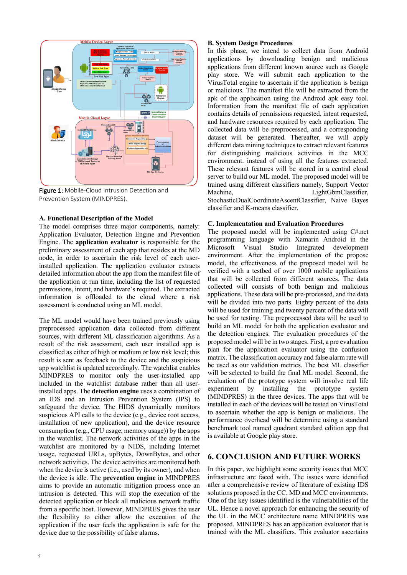

Figure 1: Mobile-Cloud Intrusion Detection and Prevention System (MINDPRES).

#### **A. Functional Description of the Model**

The model comprises three major components, namely: Application Evaluator, Detection Engine and Prevention Engine. The **application evaluator** is responsible for the preliminary assessment of each app that resides at the MD node, in order to ascertain the risk level of each userinstalled application. The application evaluator extracts detailed information about the app from the manifest file of the application at run time, including the list of requested permissions, intent, and hardware's required. The extracted information is offloaded to the cloud where a risk assessment is conducted using an ML model.

The ML model would have been trained previously using preprocessed application data collected from different sources, with different ML classification algorithms. As a result of the risk assessment, each user installed app is classified as either of high or medium or low risk level; this result is sent as feedback to the device and the suspicious app watchlist is updated accordingly. The watchlist enables MINDPRES to monitor only the user-installed app included in the watchlist database rather than all userinstalled apps. The **detection engine** uses a combination of an IDS and an Intrusion Prevention System (IPS) to safeguard the device. The HIDS dynamically monitors suspicious API calls to the device (e.g., device root access, installation of new application), and the device resource consumption (e.g., CPU usage, memory usage)) by the apps in the watchlist. The network activities of the apps in the watchlist are monitored by a NIDS, including Internet usage, requested URLs, upBytes, DownBytes, and other network activities. The device activities are monitored both when the device is active (i.e., used by its owner), and when the device is idle. The **prevention engine** in MINDPRES aims to provide an automatic mitigation process once an intrusion is detected. This will stop the execution of the detected application or block all malicious network traffic from a specific host. However, MINDPRES gives the user the flexibility to either allow the execution of the application if the user feels the application is safe for the device due to the possibility of false alarms.

#### **B. System Design Procedures**

In this phase, we intend to collect data from Android applications by downloading benign and malicious applications from different known source such as Google play store. We will submit each application to the VirusTotal engine to ascertain if the application is benign or malicious. The manifest file will be extracted from the apk of the application using the Android apk easy tool. Information from the manifest file of each application contains details of permissions requested, intent requested, and hardware resources required by each application. The collected data will be preprocessed, and a corresponding dataset will be generated. Thereafter, we will apply different data mining techniques to extract relevant features for distinguishing malicious activities in the MCC environment. instead of using all the features extracted. These relevant features will be stored in a central cloud server to build our ML model. The proposed model will be trained using different classifiers namely, Support Vector Machine, LightGbmClassifier, StochasticDualCoordinateAscentClassifier, Naive Bayes classifier and K-means classifier.

#### **C. Implementation and Evaluation Procedures**

The proposed model will be implemented using C#.net programming language with Xamarin Android in the Microsoft Visual Studio Integrated development environment. After the implementation of the propose model, the effectiveness of the proposed model will be verified with a testbed of over 1000 mobile applications that will be collected from different sources. The data collected will consists of both benign and malicious applications. These data will be pre-processed, and the data will be divided into two parts. Eighty percent of the data will be used for training and twenty percent of the data will be used for testing. The preprocessed data will be used to build an ML model for both the application evaluator and the detection engines. The evaluation procedures of the proposed model will be in two stages. First, a pre evaluation plan for the application evaluator using the confusion matrix. The classification accuracy and false alarm rate will be used as our validation metrics. The best ML classifier will be selected to build the final ML model. Second, the evaluation of the prototype system will involve real life experiment by installing the prototype system (MINDPRES) in the three devices. The apps that will be installed in each of the devices will be tested on VirusTotal to ascertain whether the app is benign or malicious. The performance overhead will be determine using a standard benchmark tool named quadrant standard edition app that is available at Google play store.

## **6. CONCLUSION AND FUTURE WORKS**

In this paper, we highlight some security issues that MCC infrastructure are faced with. The issues were identified after a comprehensive review of literature of existing IDS solutions proposed in the CC, MD and MCC environments. One of the key issues identified is the vulnerabilities of the UL. Hence a novel approach for enhancing the security of the UL in the MCC architecture name MINDPRES was proposed. MINDPRES has an application evaluator that is trained with the ML classifiers. This evaluator ascertains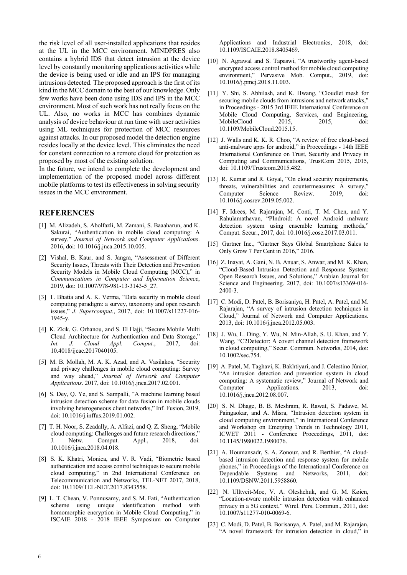the risk level of all user-installed applications that resides at the UL in the MCC environment. MINDPRES also contains a hybrid IDS that detect intrusion at the device level by constantly monitoring applications activities while the device is being used or idle and an IPS for managing intrusions detected. The proposed approach is the first of its kind in the MCC domain to the best of our knowledge. Only few works have been done using IDS and IPS in the MCC environment. Most of such work has not really focus on the UL. Also, no works in MCC has combines dynamic analysis of device behaviour at run time with user activities using ML techniques for protection of MCC resources against attacks. In our proposed model the detection engine resides locally at the device level. This eliminates the need for constant connection to a remote cloud for protection as proposed by most of the existing solution.

In the future, we intend to complete the development and implementation of the proposed model across different mobile platforms to test its effectiveness in solving security issues in the MCC environment.

## **REFERENCES**

- [1] M. Alizadeh, S. Abolfazli, M. Zamani, S. Baaaharun, and K. Sakurai, "Authentication in mobile cloud computing: A survey," *Journal of Network and Computer Applications*. 2016, doi: 10.1016/j.jnca.2015.10.005.
- [2] Vishal, B. Kaur, and S. Jangra, "Assessment of Different Security Issues, Threats with Their Detection and Prevention Security Models in Mobile Cloud Computing (MCC)," in *Communications in Computer and Information Science*, 2019, doi: 10.1007/978-981-13-3143-5\_27.
- [3] T. Bhatia and A. K. Verma, "Data security in mobile cloud computing paradigm: a survey, taxonomy and open research issues," *J. Supercomput.*, 2017, doi: 10.1007/s11227-016- 1945-y.
- [4] K. Zkik, G. Orhanou, and S. El Hajji, "Secure Mobile Multi Cloud Architecture for Authentication and Data Storage," *Int. J. Cloud Appl. Comput.*, 2017, doi: 10.4018/ijcac.2017040105.
- [5] M. B. Mollah, M. A. K. Azad, and A. Vasilakos, "Security and privacy challenges in mobile cloud computing: Survey and way ahead," *Journal of Network and Computer Applications*. 2017, doi: 10.1016/j.jnca.2017.02.001.
- [6] S. Dey, Q. Ye, and S. Sampalli, "A machine learning based intrusion detection scheme for data fusion in mobile clouds involving heterogeneous client networks," Inf. Fusion, 2019, doi: 10.1016/j.inffus.2019.01.002.
- [7] T. H. Noor, S. Zeadally, A. Alfazi, and Q. Z. Sheng, "Mobile cloud computing: Challenges and future research directions," J. Netw. Comput. Appl., 2018, doi: 10.1016/j.jnca.2018.04.018.
- [8] S. K. Khatri, Monica, and V. R. Vadi, "Biometrie based authentication and access control techniques to secure mobile cloud computing," in 2nd International Conference on Telecommunication and Networks, TEL-NET 2017, 2018, doi: 10.1109/TEL-NET.2017.8343558.
- [9] L. T. Chean, V. Ponnusamy, and S. M. Fati, "Authentication scheme using unique identification method with homomorphic encryption in Mobile Cloud Computing," in ISCAIE 2018 - 2018 IEEE Symposium on Computer

Applications and Industrial Electronics, 2018, doi: 10.1109/ISCAIE.2018.8405469.

- [10] N. Agrawal and S. Tapaswi, "A trustworthy agent-based encrypted access control method for mobile cloud computing environment," Pervasive Mob. Comput., 2019, doi: 10.1016/j.pmcj.2018.11.003.
- [11] Y. Shi, S. Abhilash, and K. Hwang, "Cloudlet mesh for securing mobile clouds from intrusions and network attacks," in Proceedings - 2015 3rd IEEE International Conference on Mobile Cloud Computing, Services, and Engineering,<br>MobileCloud 2015, 2015, doi: MobileCloud 2015, 2015, doi: 10.1109/MobileCloud.2015.15.
- [12] J. Walls and K. K. R. Choo, "A review of free cloud-based anti-malware apps for android," in Proceedings - 14th IEEE International Conference on Trust, Security and Privacy in Computing and Communications, TrustCom 2015, 2015, doi: 10.1109/Trustcom.2015.482.
- [13] R. Kumar and R. Goyal, "On cloud security requirements, threats, vulnerabilities and countermeasures: A survey," Computer Science Review. 2019, doi: 10.1016/j.cosrev.2019.05.002.
- [14] F. Idrees, M. Rajarajan, M. Conti, T. M. Chen, and Y. Rahulamathavan, "PIndroid: A novel Android malware detection system using ensemble learning methods," Comput. Secur., 2017, doi: 10.1016/j.cose.2017.03.011.
- [15] Gartner Inc., "Gartner Says Global Smartphone Sales to Only Grow 7 Per Cent in 2016," 2016.
- [16] Z. Inayat, A. Gani, N. B. Anuar, S. Anwar, and M. K. Khan, "Cloud-Based Intrusion Detection and Response System: Open Research Issues, and Solutions," Arabian Journal for Science and Engineering. 2017, doi: 10.1007/s13369-016- 2400-3.
- [17] C. Modi, D. Patel, B. Borisaniya, H. Patel, A. Patel, and M. Rajarajan, "A survey of intrusion detection techniques in Cloud," Journal of Network and Computer Applications. 2013, doi: 10.1016/j.jnca.2012.05.003.
- [18] J. Wu, L. Ding, Y. Wu, N. Min-Allah, S. U. Khan, and Y. Wang, "C2Detector: A covert channel detection framework in cloud computing," Secur. Commun. Networks, 2014, doi: 10.1002/sec.754.
- [19] A. Patel, M. Taghavi, K. Bakhtiyari, and J. Celestino Júnior, "An intrusion detection and prevention system in cloud computing: A systematic review," Journal of Network and Computer Applications. 2013, doi: 10.1016/j.jnca.2012.08.007.
- [20] S. N. Dhage, B. B. Meshram, R. Rawat, S. Padawe, M. Paingaokar, and A. Misra, "Intrusion detection system in cloud computing environment," in International Conference and Workshop on Emerging Trends in Technology 2011, ICWET 2011 - Conference Proceedings, 2011, doi: 10.1145/1980022.1980076.
- [21] A. Houmansadr, S. A. Zonouz, and R. Berthier, "A cloudbased intrusion detection and response system for mobile phones," in Proceedings of the International Conference on Dependable Systems and Networks, 2011, doi: 10.1109/DSNW.2011.5958860.
- [22] N. Ulltveit-Moe, V. A. Oleshchuk, and G. M. Køien, "Location-aware mobile intrusion detection with enhanced privacy in a 5G context," Wirel. Pers. Commun., 2011, doi: 10.1007/s11277-010-0069-6.
- [23] C. Modi, D. Patel, B. Borisanya, A. Patel, and M. Rajarajan, "A novel framework for intrusion detection in cloud," in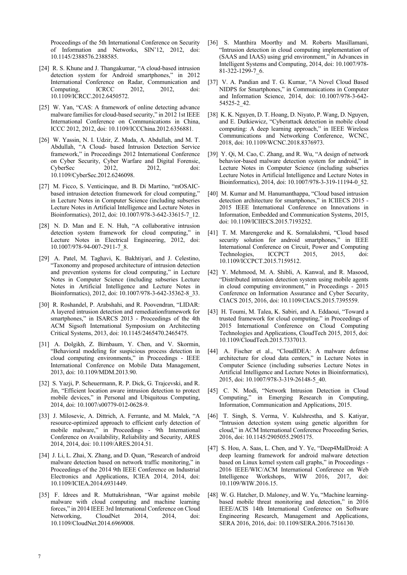Proceedings of the 5th International Conference on Security of Information and Networks, SIN'12, 2012, doi: 10.1145/2388576.2388585.

- [24] R. S. Khune and J. Thangakumar, "A cloud-based intrusion detection system for Android smartphones," in 2012 International Conference on Radar, Communication and Computing, ICRCC 2012, 2012, doi: 10.1109/ICRCC.2012.6450572.
- [25] W. Yan, "CAS: A framework of online detecting advance malware families for cloud-based security," in 2012 1st IEEE International Conference on Communications in China, ICCC 2012, 2012, doi: 10.1109/ICCChina.2012.6356881.
- [26] W. Yassin, N. I. Udzir, Z. Muda, A. Abdullah, and M. T. Abdullah, "A Cloud- based Intrusion Detection Service framework," in Proceedings 2012 International Conference on Cyber Security, Cyber Warfare and Digital Forensic, CyberSec 2012, 2012, doi: 10.1109/CyberSec.2012.6246098.
- [27] M. Ficco, S. Venticinque, and B. Di Martino, "mOSAICbased intrusion detection framework for cloud computing," in Lecture Notes in Computer Science (including subseries Lecture Notes in Artificial Intelligence and Lecture Notes in Bioinformatics), 2012, doi: 10.1007/978-3-642-33615-7\_12.
- [28] N. D. Man and E. N. Huh, "A collaborative intrusion detection system framework for cloud computing," in Lecture Notes in Electrical Engineering, 2012, doi: 10.1007/978-94-007-2911-7\_8.
- [29] A. Patel, M. Taghavi, K. Bakhtiyari, and J. Celestino, "Taxonomy and proposed architecture of intrusion detection and prevention systems for cloud computing," in Lecture Notes in Computer Science (including subseries Lecture Notes in Artificial Intelligence and Lecture Notes in Bioinformatics), 2012, doi: 10.1007/978-3-642-35362-8\_33.
- [30] R. Roshandel, P. Arabshahi, and R. Poovendran, "LIDAR: A layered intrusion detection and remediationframework for smartphones," in ISARCS 2013 - Proceedings of the 4th ACM Sigsoft International Symposium on Architecting Critical Systems, 2013, doi: 10.1145/2465470.2465475.
- [31] A. Dolgikh, Z. Birnbaum, Y. Chen, and V. Skormin, "Behavioral modeling for suspicious process detection in cloud computing environments," in Proceedings - IEEE International Conference on Mobile Data Management, 2013, doi: 10.1109/MDM.2013.90.
- [32] S. Yazji, P. Scheuermann, R. P. Dick, G. Trajcevski, and R. Jin, "Efficient location aware intrusion detection to protect mobile devices," in Personal and Ubiquitous Computing, 2014, doi: 10.1007/s00779-012-0628-9.
- [33] J. Milosevic, A. Dittrich, A. Ferrante, and M. Malek, "A resource-optimized approach to efficient early detection of mobile malware," in Proceedings - 9th International Conference on Availability, Reliability and Security, ARES 2014, 2014, doi: 10.1109/ARES.2014.51.
- [34] J. Li, L. Zhai, X. Zhang, and D. Quan, "Research of android malware detection based on network traffic monitoring," in Proceedings of the 2014 9th IEEE Conference on Industrial Electronics and Applications, ICIEA 2014, 2014, doi: 10.1109/ICIEA.2014.6931449.
- [35] F. Idrees and R. Muttukrishnan, "War against mobile malware with cloud computing and machine learning forces," in 2014 IEEE 3rd International Conference on Cloud Networking, CloudNet 2014, 2014, doi: 10.1109/CloudNet.2014.6969008.
- [36] S. Manthira Moorthy and M. Roberts Masillamani, "Intrusion detection in cloud computing implementation of (SAAS and IAAS) using grid environment," in Advances in Intelligent Systems and Computing, 2014, doi: 10.1007/978- 81-322-1299-7\_6.
- [37] V. A. Pandian and T. G. Kumar, "A Novel Cloud Based NIDPS for Smartphones," in Communications in Computer and Information Science, 2014, doi: 10.1007/978-3-642- 54525-2\_42.
- [38] K. K. Nguyen, D. T. Hoang, D. Niyato, P. Wang, D. Nguyen, and E. Dutkiewicz, "Cyberattack detection in mobile cloud computing: A deep learning approach," in IEEE Wireless Communications and Networking Conference, WCNC, 2018, doi: 10.1109/WCNC.2018.8376973.
- [39] Y. Qi, M. Cao, C. Zhang, and R. Wu, "A design of network behavior-based malware detection system for android," in Lecture Notes in Computer Science (including subseries Lecture Notes in Artificial Intelligence and Lecture Notes in Bioinformatics), 2014, doi: 10.1007/978-3-319-11194-0\_52.
- [40] M. Kumar and M. Hanumanthappa, "Cloud based intrusion detection architecture for smartphones," in ICIIECS 2015 - 2015 IEEE International Conference on Innovations in Information, Embedded and Communication Systems, 2015, doi: 10.1109/ICIIECS.2015.7193252.
- [41] T. M. Marengereke and K. Sornalakshmi, "Cloud based security solution for android smartphones," in IEEE International Conference on Circuit, Power and Computing Technologies, ICCPCT 2015, 2015, doi: 10.1109/ICCPCT.2015.7159512.
- [42] Y. Mehmood, M. A. Shibli, A. Kanwal, and R. Masood, "Distributed intrusion detection system using mobile agents in cloud computing environment," in Proceedings - 2015 Conference on Information Assurance and Cyber Security, CIACS 2015, 2016, doi: 10.1109/CIACS.2015.7395559.
- [43] H. Toumi, M. Talea, K. Sabiri, and A. Eddaoui, "Toward a trusted framework for cloud computing," in Proceedings of 2015 International Conference on Cloud Computing Technologies and Applications, CloudTech 2015, 2015, doi: 10.1109/CloudTech.2015.7337013.
- [44] A. Fischer et al., "CloudIDEA: A malware defense architecture for cloud data centers," in Lecture Notes in Computer Science (including subseries Lecture Notes in Artificial Intelligence and Lecture Notes in Bioinformatics), 2015, doi: 10.1007/978-3-319-26148-5\_40.
- [45] C. N. Modi, "Network Intrusion Detection in Cloud Computing," in Emerging Research in Computing, Information, Communication and Applications, 2015.
- [46] T. Singh, S. Verma, V. Kulshrestha, and S. Katiyar, "Intrusion detection system using genetic algorithm for cloud," in ACM International Conference Proceeding Series, 2016, doi: 10.1145/2905055.2905175.
- [47] S. Hou, A. Saas, L. Chen, and Y. Ye, "Deep4MalDroid: A deep learning framework for android malware detection based on Linux kernel system call graphs," in Proceedings - 2016 IEEE/WIC/ACM International Conference on Web Intelligence Workshops, WIW 2016, 2017, doi: 10.1109/WIW.2016.15.
- [48] W. G. Hatcher, D. Maloney, and W. Yu, "Machine learningbased mobile threat monitoring and detection," in 2016 IEEE/ACIS 14th International Conference on Software Engineering Research, Management and Applications, SERA 2016, 2016, doi: 10.1109/SERA.2016.7516130.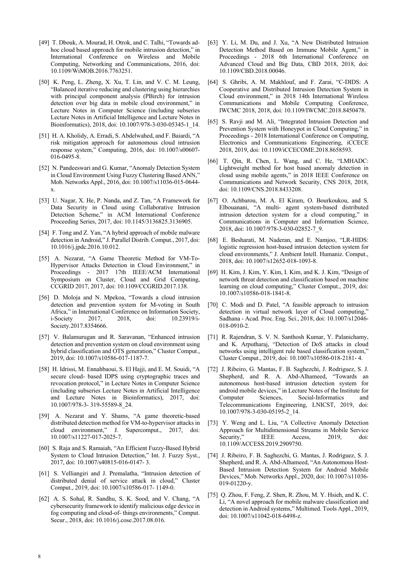- [49] T. Dbouk, A. Mourad, H. Otrok, and C. Talhi, "Towards adhoc cloud based approach for mobile intrusion detection," in International Conference on Wireless and Mobile Computing, Networking and Communications, 2016, doi: 10.1109/WiMOB.2016.7763251.
- [50] K. Peng, L. Zheng, X. Xu, T. Lin, and V. C. M. Leung, "Balanced iterative reducing and clustering using hierarchies with principal component analysis (PBirch) for intrusion detection over big data in mobile cloud environment," in Lecture Notes in Computer Science (including subseries Lecture Notes in Artificial Intelligence and Lecture Notes in Bioinformatics), 2018, doi: 10.1007/978-3-030-05345-1\_14.
- [51] H. A. Kholidy, A. Erradi, S. Abdelwahed, and F. Baiardi, "A risk mitigation approach for autonomous cloud intrusion response system," Computing, 2016, doi: 10.1007/s00607- 016-0495-8.
- [52] N. Pandeeswari and G. Kumar, "Anomaly Detection System in Cloud Environment Using Fuzzy Clustering Based ANN," Mob. Networks Appl., 2016, doi: 10.1007/s11036-015-0644 x.
- [53] U. Nagar, X. He, P. Nanda, and Z. Tan, "A Framework for Data Security in Cloud using Collaborative Intrusion Detection Scheme," in ACM International Conference Proceeding Series, 2017, doi: 10.1145/3136825.3136905.
- [54] F. Tong and Z. Yan, "A hybrid approach of mobile malware detection in Android," J. Parallel Distrib. Comput., 2017, doi: 10.1016/j.jpdc.2016.10.012.
- [55] A. Nezarat, "A Game Theoretic Method for VM-To-Hypervisor Attacks Detection in Cloud Environment," in Proceedings - 2017 17th IEEE/ACM International Symposium on Cluster, Cloud and Grid Computing, CCGRID 2017, 2017, doi: 10.1109/CCGRID.2017.138.
- [56] D. Moloja and N. Mpekoa, "Towards a cloud intrusion detection and prevention system for M-voting in South Africa," in International Conference on Information Society, i-Society 2017, 2018, doi: 10.23919/i-Society.2017.8354666.
- [57] V. Balamurugan and R. Saravanan, "Enhanced intrusion detection and prevention system on cloud environment using hybrid classification and OTS generation," Cluster Comput., 2019, doi: 10.1007/s10586-017-1187-7.
- [58] H. Idrissi, M. Ennahbaoui, S. El Hajji, and E. M. Souidi, "A secure cloud- based IDPS using cryptographic traces and revocation protocol," in Lecture Notes in Computer Science (including subseries Lecture Notes in Artificial Intelligence and Lecture Notes in Bioinformatics), 2017, doi: 10.1007/978-3- 319-55589-8\_24.
- [59] A. Nezarat and Y. Shams, "A game theoretic-based distributed detection method for VM-to-hypervisor attacks in cloud environment," J. Supercomput., 2017, doi: 10.1007/s11227-017-2025-7.
- [60] S. Raja and S. Ramaiah, "An Efficient Fuzzy-Based Hybrid System to Cloud Intrusion Detection," Int. J. Fuzzy Syst., 2017, doi: 10.1007/s40815-016-0147- 3.
- [61] S. Velliangiri and J. Premalatha, "Intrusion detection of distributed denial of service attack in cloud," Cluster Comput., 2019, doi: 10.1007/s10586-017- 1149-0.
- [62] A. S. Sohal, R. Sandhu, S. K. Sood, and V. Chang, "A cybersecurity framework to identify malicious edge device in fog computing and cloud-of- things environments," Comput. Secur., 2018, doi: 10.1016/j.cose.2017.08.016.
- [63] Y. Li, M. Du, and J. Xu, "A New Distributed Intrusion Detection Method Based on Immune Mobile Agent," in Proceedings - 2018 6th International Conference on Advanced Cloud and Big Data, CBD 2018, 2018, doi: 10.1109/CBD.2018.00046.
- [64] S. Ghribi, A. M. Makhlouf, and F. Zarai, "C-DIDS: A Cooperative and Distributed Intrusion Detection System in Cloud environment," in 2018 14th International Wireless Communications and Mobile Computing Conference, IWCMC 2018, 2018, doi: 10.1109/IWCMC.2018.8450478.
- [65] S. Ravji and M. Ali, "Integrated Intrusion Detection and Prevention System with Honeypot in Cloud Computing," in Proceedings - 2018 International Conference on Computing, Electronics and Communications Engineering, iCCECE 2018, 2019, doi: 10.1109/iCCECOME.2018.8658593.
- [66] T. Qin, R. Chen, L. Wang, and C. He, "LMHADC: Lightweight method for host based anomaly detection in cloud using mobile agents," in 2018 IEEE Conference on Communications and Network Security, CNS 2018, 2018, doi: 10.1109/CNS.2018.8433208.
- [67] O. Achbarou, M. A. El Kiram, O. Bourkoukou, and S. Elbouanani, "A multi- agent system-based distributed intrusion detection system for a cloud computing," in Communications in Computer and Information Science, 2018, doi: 10.1007/978-3-030-02852-7\_9.
- [68] E. Besharati, M. Naderan, and E. Namjoo, "LR-HIDS: logistic regression host-based intrusion detection system for cloud environments," J. Ambient Intell. Humaniz. Comput., 2018, doi: 10.1007/s12652-018-1093-8.
- [69] H. Kim, J. Kim, Y. Kim, I. Kim, and K. J. Kim, "Design of network threat detection and classification based on machine learning on cloud computing," Cluster Comput., 2019, doi: 10.1007/s10586-018-1841-8.
- [70] C. Modi and D. Patel, "A feasible approach to intrusion detection in virtual network layer of Cloud computing," Sadhana - Acad. Proc. Eng. Sci., 2018, doi: 10.1007/s12046- 018-0910-2.
- [71] R. Rajendran, S. V. N. Santhosh Kumar, Y. Palanichamy, and K. Arputharaj, "Detection of DoS attacks in cloud networks using intelligent rule based classification system," Cluster Comput., 2019, doi: 10.1007/s10586-018-2181- 4.
- [72] J. Ribeiro, G. Mantas, F. B. Saghezchi, J. Rodriguez, S. J. Shepherd, and R. A. Abd-Alhameed, "Towards an autonomous host-based intrusion detection system for android mobile devices," in Lecture Notes of the Institute for Computer Sciences, Social-Informatics and Telecommunications Engineering, LNICST, 2019, doi: 10.1007/978-3-030-05195-2\_14.
- [73] Y. Weng and L. Liu, "A Collective Anomaly Detection Approach for Multidimensional Streams in Mobile Service Security," IEEE Access, 2019, doi: 10.1109/ACCESS.2019.2909750.
- [74] J. Ribeiro, F. B. Saghezchi, G. Mantas, J. Rodriguez, S. J. Shepherd, and R. A. Abd-Alhameed, "An Autonomous Host-Based Intrusion Detection System for Android Mobile Devices," Mob. Networks Appl., 2020, doi: 10.1007/s11036- 019-01220-y.
- [75] Q. Zhou, F. Feng, Z. Shen, R. Zhou, M. Y. Hsieh, and K. C. Li, "A novel approach for mobile malware classification and detection in Android systems," Multimed. Tools Appl., 2019, doi: 10.1007/s11042-018-6498-z.